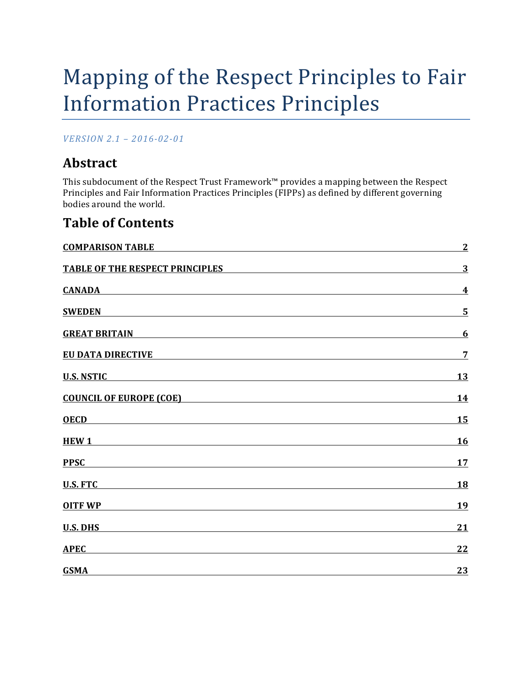# Mapping of the Respect Principles to Fair **Information Practices Principles**

*VERSION 2.1 – 2016-02-01*

# **Abstract**

This subdocument of the Respect Trust Framework™ provides a mapping between the Respect Principles and Fair Information Practices Principles (FIPPs) as defined by different governing bodies around the world.

### **Table of Contents**

| <b>COMPARISON TABLE</b>                                                                                                                                                                                                                                      | $\overline{2}$   |
|--------------------------------------------------------------------------------------------------------------------------------------------------------------------------------------------------------------------------------------------------------------|------------------|
| <b>TABLE OF THE RESPECT PRINCIPLES</b>                                                                                                                                                                                                                       | 3                |
| <b>CANADA</b>                                                                                                                                                                                                                                                | $\boldsymbol{4}$ |
| <b>SWEDEN</b>                                                                                                                                                                                                                                                | 5                |
| <b>GREAT BRITAIN</b><br><u>and the control of the control of the control of the control of the control of the control of the control of the control of the control of the control of the control of the control of the control of the control of the con</u> | 6                |
| <b>EU DATA DIRECTIVE</b>                                                                                                                                                                                                                                     | $\overline{7}$   |
| <b>U.S. NSTIC</b><br><u> 1989 - Johann Stoff, amerikansk politiker (d. 1989)</u>                                                                                                                                                                             | 13               |
| <b>COUNCIL OF EUROPE (COE) EXECUTE: EXECUTE: EXECUTE: EXECUTE: EXECUTE: EXECUTE: EXECUTE: EXECUTE: EXECUTE: EXECUTE: EXECUTE: EXECUTE: EXECUTE: EXECUTE: EXECUTE: EXECUTE: EXECUTE: EXECUTE:</b>                                                             | 14               |
| <b>OECD</b><br><u> 1989 - Johann Stoff, amerikansk politiker (d. 1989)</u>                                                                                                                                                                                   | 15               |
| HEW <sub>1</sub>                                                                                                                                                                                                                                             | <b>16</b>        |
| <b>PPSC</b>                                                                                                                                                                                                                                                  | 17               |
| <b>U.S. FTC</b>                                                                                                                                                                                                                                              | 18               |
| <b>OITF WP</b>                                                                                                                                                                                                                                               | 19               |
| <b>U.S. DHS</b>                                                                                                                                                                                                                                              | 21               |
| <b>APEC</b>                                                                                                                                                                                                                                                  | 22               |
| <b>GSMA</b>                                                                                                                                                                                                                                                  | 23               |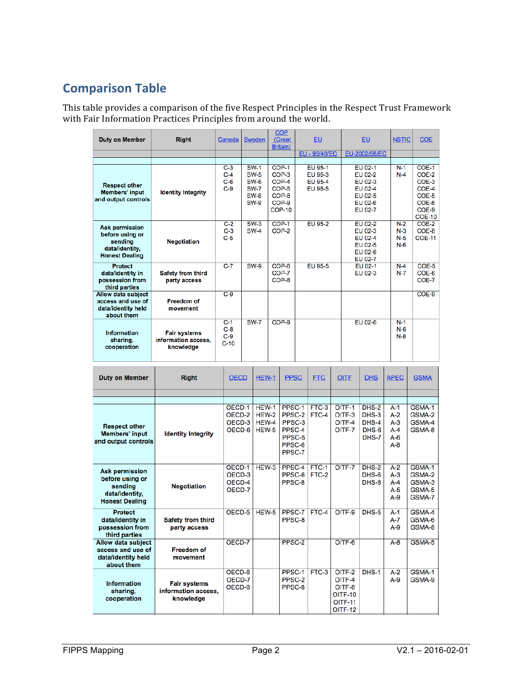# **Comparison Table**

This table provides a comparison of the five Respect Principles in the Respect Trust Framework with Fair Information Practices Principles from around the world.

| <b>Duty on Member</b>                                                                          | <b>Right</b>                                            | Canada                            | Sweden                                                                                 | <b>COP</b><br>(Great<br>Britain)                                        | <b>EU</b>                                | <b>EU</b>                                                                        | <b>NSTIC</b>                     | <b>COE</b>                                                                     |
|------------------------------------------------------------------------------------------------|---------------------------------------------------------|-----------------------------------|----------------------------------------------------------------------------------------|-------------------------------------------------------------------------|------------------------------------------|----------------------------------------------------------------------------------|----------------------------------|--------------------------------------------------------------------------------|
|                                                                                                |                                                         |                                   |                                                                                        |                                                                         | EU - 95/46/EC                            | EU-2002/58/EC                                                                    |                                  |                                                                                |
|                                                                                                |                                                         |                                   |                                                                                        |                                                                         |                                          |                                                                                  |                                  |                                                                                |
| <b>Respect other</b><br><b>Members' input</b><br>and output controls                           | <b>Identity Integrity</b>                               | $C-3$<br>$C-4$<br>$C-6$<br>$C-9$  | <b>SW-1</b><br><b>SW-5</b><br><b>SW-6</b><br><b>SW-7</b><br><b>SW-8</b><br><b>SW-9</b> | $COP-1$<br>$COP-3$<br>COP-4<br>COP-5<br>COP-8<br>COP-9<br><b>COP-10</b> | EU 95-1<br>EU 95-3<br>EU 95-4<br>EU 95-5 | <b>EU 02-1</b><br>EU 02-2<br>EU 02-3<br>EU 02-4<br>EU 02-5<br>EU 02-6<br>EU 02-7 | $N-1$<br>$N-4$                   | $COE-1$<br>COE-2<br>COE-3<br>COE-4<br>COE-5<br>COE-6<br>COE-9<br><b>COE-10</b> |
| <b>Ask permission</b><br>before using or<br>sendina<br>data/identity.<br><b>Honest Dealing</b> | <b>Negotiation</b>                                      | $C-2$<br>$C-3$<br>$C-5$           | $SW-3$<br><b>SW-4</b>                                                                  | $COP-1$<br>COP-2                                                        | EU 95-2                                  | EU 02-2<br>EU 02-3<br>EU 02-4<br>EU 02-5<br>EU 02-6<br>EU 02-7                   | $N-2$<br>$N-3$<br>$N-5$<br>$N-6$ | $COE-2$<br>COE-8<br><b>COE-11</b>                                              |
| <b>Protect</b><br>data/identity in<br>possession from<br>third parties                         | <b>Safety from third</b><br>party access                | $C-7$                             | $SW-9$                                                                                 | COP-6<br>COP-7<br>COP-8                                                 | EU 95-5                                  | EU 02-1<br>EU 02-3                                                               | $N-4$<br>$N-7$                   | $COE-5$<br>COE-6<br>COE-7                                                      |
| Allow data subject<br>access and use of<br>data/identity held<br>about them                    | <b>Freedom of</b><br>movement                           | $C-9$                             |                                                                                        |                                                                         |                                          |                                                                                  |                                  | $COE-9$                                                                        |
| <b>Information</b><br>sharing,<br>cooperation                                                  | <b>Fair systems</b><br>information access.<br>knowledge | $C-1$<br>$C-8$<br>$C-9$<br>$C-10$ | <b>SW-7</b>                                                                            | $COP-9$                                                                 |                                          | EU 02-6                                                                          | $N-1$<br>$N-6$<br>$N-8$          |                                                                                |

| <b>Duty on Member</b>                                                                          | <b>Right</b>                                            | <b>OECD</b>                          | HEW-1                            | <b>PPSC</b>                                                        | <b>FTC</b>       | <b>OITF</b>                                                                      | <b>DHS</b>                                  | <b>APEC</b>                                            | <b>GSMA</b>                                    |
|------------------------------------------------------------------------------------------------|---------------------------------------------------------|--------------------------------------|----------------------------------|--------------------------------------------------------------------|------------------|----------------------------------------------------------------------------------|---------------------------------------------|--------------------------------------------------------|------------------------------------------------|
|                                                                                                |                                                         |                                      |                                  |                                                                    |                  |                                                                                  |                                             |                                                        |                                                |
|                                                                                                |                                                         |                                      |                                  |                                                                    |                  |                                                                                  |                                             |                                                        |                                                |
| <b>Respect other</b><br><b>Members' input</b><br>and output controls                           | <b>Identity Integrity</b>                               | OECD-1<br>OECD-2<br>OECD-3<br>OECD-6 | HEW-1<br>HEW-2<br>HEW-4<br>HEW-5 | PPSC-1<br>PPSC-2<br>PPSC-3<br>PPSC-4<br>PPSC-5<br>PPSC-6<br>PPSC-7 | $FTC-3$<br>FTC-4 | OITF-1<br>OITF-3<br>OITF-4<br>OITF-7                                             | $DHS-2$<br>DHS-3<br>DHS-4<br>DHS-6<br>DHS-7 | $A-1$<br>$A-2$<br>$A-3$<br>$A - 4$<br>$A-6$<br>$A - B$ | GSMA-1<br>GSMA-2<br>GSMA-4<br>GSMA-8           |
| <b>Ask permission</b><br>before using or<br>sendina<br>data/identity,<br><b>Honest Dealing</b> | <b>Negotiation</b>                                      | OECD-1<br>OECD-3<br>OECD-4<br>OECD-7 | HEW-3                            | PPSC-4<br>PPSC-6<br>PPSC-8                                         | FTC-1<br>FTC-2   | OITF-7                                                                           | $DHS-2$<br>DHS-6<br>$DHS-8$                 | $A-2$<br>$A-3$<br>$A-4$<br>$A-5$<br>$A-9$              | GSMA-1<br>GSMA-2<br>GSMA-3<br>GSMA-5<br>GSMA-7 |
| <b>Protect</b><br>data/identity in<br>possession from<br>third parties                         | <b>Safety from third</b><br>party access                | OECD-5                               | $HEW-5$                          | PPSC-7<br>PPSC-8                                                   | FTC-4            | OITF-9                                                                           | $DHS-5$                                     | $A-1$<br>A-7<br>$A-9$                                  | GSMA-4<br>GSMA-6<br>GSMA-8                     |
| Allow data subject<br>access and use of<br>data/identity held<br>about them                    | <b>Freedom of</b><br>movement                           | OECD-7                               |                                  | PPSC-2                                                             |                  | OITF-6                                                                           |                                             | $A - B$                                                | GSMA-5                                         |
| <b>Information</b><br>sharing,<br>cooperation                                                  | <b>Fair systems</b><br>information access.<br>knowledge | OECD-6<br>OECD-7<br>OECD-8           |                                  | PPSC-1<br>PPSC-2<br>PPSC-8                                         | FTC-3            | OITF-2<br>OITF-4<br>OITF-8<br><b>OITF-10</b><br><b>OITF-11</b><br><b>OITF-12</b> | DHS-1                                       | $A-2$<br>$A-9$                                         | GSMA-1<br>GSMA-9                               |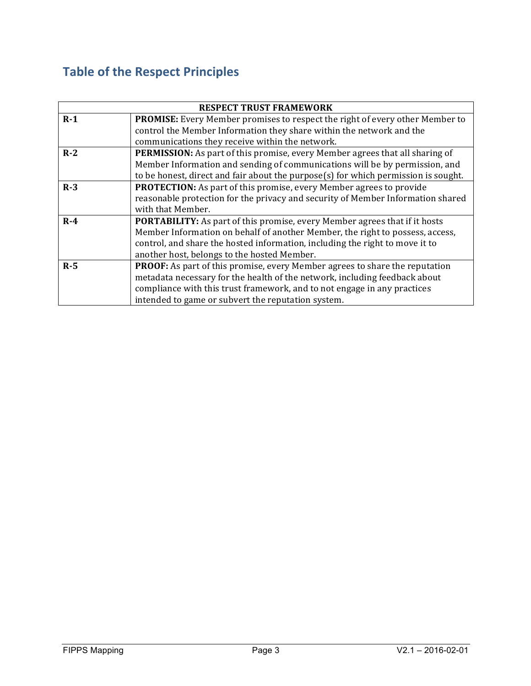# **Table of the Respect Principles**

|       | <b>RESPECT TRUST FRAMEWORK</b>                                                      |
|-------|-------------------------------------------------------------------------------------|
| $R-1$ | <b>PROMISE:</b> Every Member promises to respect the right of every other Member to |
|       | control the Member Information they share within the network and the                |
|       | communications they receive within the network.                                     |
| $R-2$ | <b>PERMISSION:</b> As part of this promise, every Member agrees that all sharing of |
|       | Member Information and sending of communications will be by permission, and         |
|       | to be honest, direct and fair about the purpose(s) for which permission is sought.  |
| $R-3$ | <b>PROTECTION:</b> As part of this promise, every Member agrees to provide          |
|       | reasonable protection for the privacy and security of Member Information shared     |
|       | with that Member.                                                                   |
| $R-4$ | <b>PORTABILITY:</b> As part of this promise, every Member agrees that if it hosts   |
|       | Member Information on behalf of another Member, the right to possess, access,       |
|       | control, and share the hosted information, including the right to move it to        |
|       | another host, belongs to the hosted Member.                                         |
| $R-5$ | <b>PROOF:</b> As part of this promise, every Member agrees to share the reputation  |
|       | metadata necessary for the health of the network, including feedback about          |
|       | compliance with this trust framework, and to not engage in any practices            |
|       | intended to game or subvert the reputation system.                                  |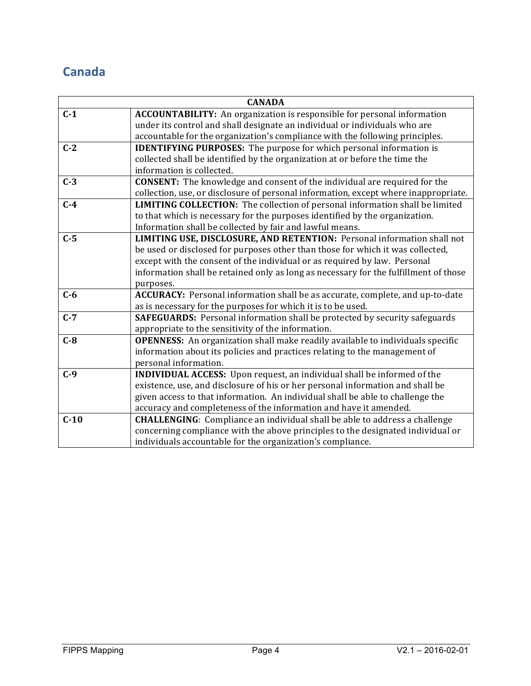### **Canada**

|        | <b>CANADA</b>                                                                         |
|--------|---------------------------------------------------------------------------------------|
| $C-1$  | <b>ACCOUNTABILITY:</b> An organization is responsible for personal information        |
|        | under its control and shall designate an individual or individuals who are            |
|        | accountable for the organization's compliance with the following principles.          |
| $C-2$  | <b>IDENTIFYING PURPOSES:</b> The purpose for which personal information is            |
|        | collected shall be identified by the organization at or before the time the           |
|        | information is collected.                                                             |
| $C-3$  | <b>CONSENT:</b> The knowledge and consent of the individual are required for the      |
|        | collection, use, or disclosure of personal information, except where inappropriate.   |
| $C-4$  | <b>LIMITING COLLECTION:</b> The collection of personal information shall be limited   |
|        | to that which is necessary for the purposes identified by the organization.           |
|        | Information shall be collected by fair and lawful means.                              |
| $C-5$  | LIMITING USE, DISCLOSURE, AND RETENTION: Personal information shall not               |
|        | be used or disclosed for purposes other than those for which it was collected,        |
|        | except with the consent of the individual or as required by law. Personal             |
|        | information shall be retained only as long as necessary for the fulfillment of those  |
|        | purposes.                                                                             |
| $C-6$  | ACCURACY: Personal information shall be as accurate, complete, and up-to-date         |
|        | as is necessary for the purposes for which it is to be used.                          |
| $C-7$  | <b>SAFEGUARDS:</b> Personal information shall be protected by security safeguards     |
|        | appropriate to the sensitivity of the information.                                    |
| $C-8$  | <b>OPENNESS:</b> An organization shall make readily available to individuals specific |
|        | information about its policies and practices relating to the management of            |
|        | personal information.                                                                 |
| $C-9$  | <b>INDIVIDUAL ACCESS:</b> Upon request, an individual shall be informed of the        |
|        | existence, use, and disclosure of his or her personal information and shall be        |
|        | given access to that information. An individual shall be able to challenge the        |
|        | accuracy and completeness of the information and have it amended.                     |
| $C-10$ | <b>CHALLENGING:</b> Compliance an individual shall be able to address a challenge     |
|        | concerning compliance with the above principles to the designated individual or       |
|        | individuals accountable for the organization's compliance.                            |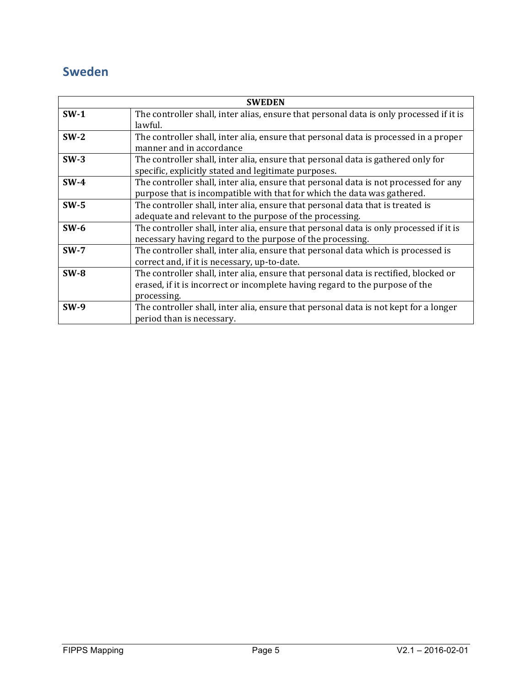### **Sweden**

|             | <b>SWEDEN</b>                                                                           |
|-------------|-----------------------------------------------------------------------------------------|
| $SW-1$      | The controller shall, inter alias, ensure that personal data is only processed if it is |
|             | lawful.                                                                                 |
| $SW-2$      | The controller shall, inter alia, ensure that personal data is processed in a proper    |
|             | manner and in accordance                                                                |
| $SW-3$      | The controller shall, inter alia, ensure that personal data is gathered only for        |
|             | specific, explicitly stated and legitimate purposes.                                    |
| $SW-4$      | The controller shall, inter alia, ensure that personal data is not processed for any    |
|             | purpose that is incompatible with that for which the data was gathered.                 |
| $SW-5$      | The controller shall, inter alia, ensure that personal data that is treated is          |
|             | adequate and relevant to the purpose of the processing.                                 |
| $SW-6$      | The controller shall, inter alia, ensure that personal data is only processed if it is  |
|             | necessary having regard to the purpose of the processing.                               |
| $SW-7$      | The controller shall, inter alia, ensure that personal data which is processed is       |
|             | correct and, if it is necessary, up-to-date.                                            |
| $SW-8$      | The controller shall, inter alia, ensure that personal data is rectified, blocked or    |
|             | erased, if it is incorrect or incomplete having regard to the purpose of the            |
|             | processing.                                                                             |
| <b>SW-9</b> | The controller shall, inter alia, ensure that personal data is not kept for a longer    |
|             | period than is necessary.                                                               |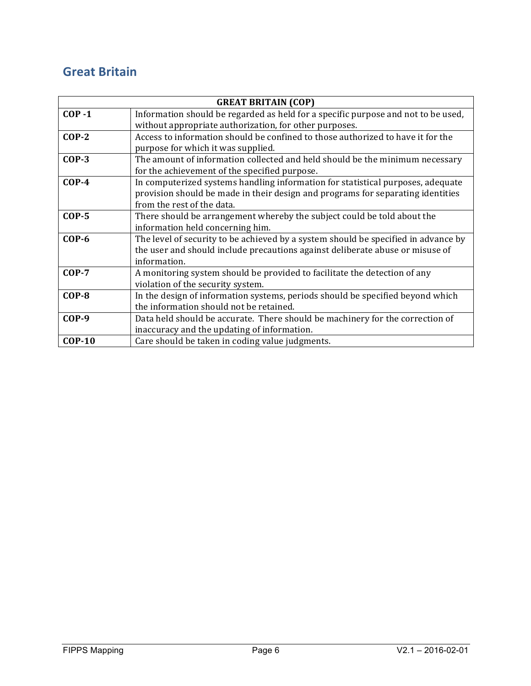### **Great Britain**

|               | <b>GREAT BRITAIN (COP)</b>                                                         |
|---------------|------------------------------------------------------------------------------------|
| $COP - 1$     | Information should be regarded as held for a specific purpose and not to be used,  |
|               | without appropriate authorization, for other purposes.                             |
| $COP-2$       | Access to information should be confined to those authorized to have it for the    |
|               | purpose for which it was supplied.                                                 |
| $COP-3$       | The amount of information collected and held should be the minimum necessary       |
|               | for the achievement of the specified purpose.                                      |
| $COP-4$       | In computerized systems handling information for statistical purposes, adequate    |
|               | provision should be made in their design and programs for separating identities    |
|               | from the rest of the data.                                                         |
| $COP-5$       | There should be arrangement whereby the subject could be told about the            |
|               | information held concerning him.                                                   |
| $COP-6$       | The level of security to be achieved by a system should be specified in advance by |
|               | the user and should include precautions against deliberate abuse or misuse of      |
|               | information.                                                                       |
| $COP-7$       | A monitoring system should be provided to facilitate the detection of any          |
|               | violation of the security system.                                                  |
| $COP-8$       | In the design of information systems, periods should be specified beyond which     |
|               | the information should not be retained.                                            |
| <b>COP-9</b>  | Data held should be accurate. There should be machinery for the correction of      |
|               | inaccuracy and the updating of information.                                        |
| <b>COP-10</b> | Care should be taken in coding value judgments.                                    |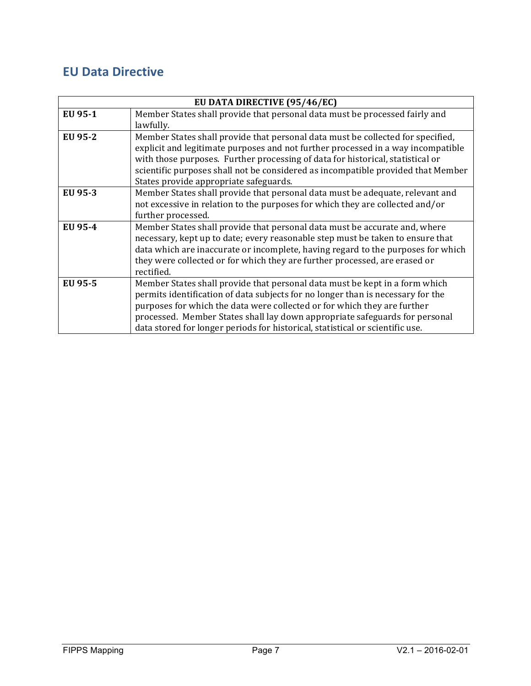### **EU Data Directive**

|         | EU DATA DIRECTIVE (95/46/EC)                                                     |
|---------|----------------------------------------------------------------------------------|
| EU 95-1 | Member States shall provide that personal data must be processed fairly and      |
|         | lawfully.                                                                        |
| EU 95-2 | Member States shall provide that personal data must be collected for specified,  |
|         | explicit and legitimate purposes and not further processed in a way incompatible |
|         | with those purposes. Further processing of data for historical, statistical or   |
|         | scientific purposes shall not be considered as incompatible provided that Member |
|         | States provide appropriate safeguards.                                           |
| EU 95-3 | Member States shall provide that personal data must be adequate, relevant and    |
|         | not excessive in relation to the purposes for which they are collected and/or    |
|         | further processed.                                                               |
| EU 95-4 | Member States shall provide that personal data must be accurate and, where       |
|         | necessary, kept up to date; every reasonable step must be taken to ensure that   |
|         | data which are inaccurate or incomplete, having regard to the purposes for which |
|         | they were collected or for which they are further processed, are erased or       |
|         | rectified.                                                                       |
| EU 95-5 | Member States shall provide that personal data must be kept in a form which      |
|         | permits identification of data subjects for no longer than is necessary for the  |
|         | purposes for which the data were collected or for which they are further         |
|         | processed. Member States shall lay down appropriate safeguards for personal      |
|         | data stored for longer periods for historical, statistical or scientific use.    |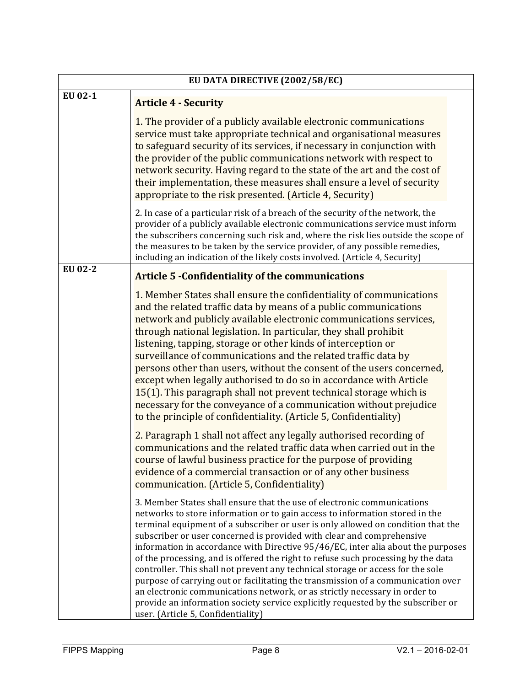| EU DATA DIRECTIVE (2002/58/EC) |                                                                                                                                                                                                                                                                                                                                                                                                                                                                                                                                                                                                                                                                                                                                                                                                                                                                              |  |  |
|--------------------------------|------------------------------------------------------------------------------------------------------------------------------------------------------------------------------------------------------------------------------------------------------------------------------------------------------------------------------------------------------------------------------------------------------------------------------------------------------------------------------------------------------------------------------------------------------------------------------------------------------------------------------------------------------------------------------------------------------------------------------------------------------------------------------------------------------------------------------------------------------------------------------|--|--|
| EU 02-1                        | <b>Article 4 - Security</b>                                                                                                                                                                                                                                                                                                                                                                                                                                                                                                                                                                                                                                                                                                                                                                                                                                                  |  |  |
|                                | 1. The provider of a publicly available electronic communications<br>service must take appropriate technical and organisational measures<br>to safeguard security of its services, if necessary in conjunction with<br>the provider of the public communications network with respect to<br>network security. Having regard to the state of the art and the cost of<br>their implementation, these measures shall ensure a level of security<br>appropriate to the risk presented. (Article 4, Security)                                                                                                                                                                                                                                                                                                                                                                     |  |  |
|                                | 2. In case of a particular risk of a breach of the security of the network, the<br>provider of a publicly available electronic communications service must inform<br>the subscribers concerning such risk and, where the risk lies outside the scope of<br>the measures to be taken by the service provider, of any possible remedies,<br>including an indication of the likely costs involved. (Article 4, Security)                                                                                                                                                                                                                                                                                                                                                                                                                                                        |  |  |
| EU 02-2                        | <b>Article 5 -Confidentiality of the communications</b>                                                                                                                                                                                                                                                                                                                                                                                                                                                                                                                                                                                                                                                                                                                                                                                                                      |  |  |
|                                | 1. Member States shall ensure the confidentiality of communications<br>and the related traffic data by means of a public communications<br>network and publicly available electronic communications services,<br>through national legislation. In particular, they shall prohibit<br>listening, tapping, storage or other kinds of interception or<br>surveillance of communications and the related traffic data by<br>persons other than users, without the consent of the users concerned,<br>except when legally authorised to do so in accordance with Article<br>15(1). This paragraph shall not prevent technical storage which is<br>necessary for the conveyance of a communication without prejudice<br>to the principle of confidentiality. (Article 5, Confidentiality)                                                                                          |  |  |
|                                | 2. Paragraph 1 shall not affect any legally authorised recording of<br>communications and the related traffic data when carried out in the<br>course of lawful business practice for the purpose of providing<br>evidence of a commercial transaction or of any other business<br>communication. (Article 5, Confidentiality)                                                                                                                                                                                                                                                                                                                                                                                                                                                                                                                                                |  |  |
|                                | 3. Member States shall ensure that the use of electronic communications<br>networks to store information or to gain access to information stored in the<br>terminal equipment of a subscriber or user is only allowed on condition that the<br>subscriber or user concerned is provided with clear and comprehensive<br>information in accordance with Directive 95/46/EC, inter alia about the purposes<br>of the processing, and is offered the right to refuse such processing by the data<br>controller. This shall not prevent any technical storage or access for the sole<br>purpose of carrying out or facilitating the transmission of a communication over<br>an electronic communications network, or as strictly necessary in order to<br>provide an information society service explicitly requested by the subscriber or<br>user. (Article 5, Confidentiality) |  |  |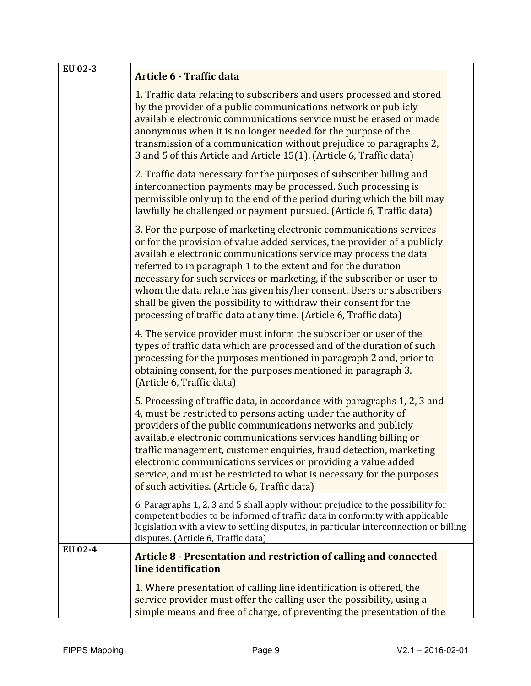| EU 02-3 | Article 6 - Traffic data                                                                                                                                                                                                                                                                                                                                                                                                                                                                                                                                                       |  |
|---------|--------------------------------------------------------------------------------------------------------------------------------------------------------------------------------------------------------------------------------------------------------------------------------------------------------------------------------------------------------------------------------------------------------------------------------------------------------------------------------------------------------------------------------------------------------------------------------|--|
|         | 1. Traffic data relating to subscribers and users processed and stored<br>by the provider of a public communications network or publicly<br>available electronic communications service must be erased or made<br>anonymous when it is no longer needed for the purpose of the<br>transmission of a communication without prejudice to paragraphs 2,<br>3 and 5 of this Article and Article 15(1). (Article 6, Traffic data)                                                                                                                                                   |  |
|         | 2. Traffic data necessary for the purposes of subscriber billing and<br>interconnection payments may be processed. Such processing is<br>permissible only up to the end of the period during which the bill may<br>lawfully be challenged or payment pursued. (Article 6, Traffic data)                                                                                                                                                                                                                                                                                        |  |
|         | 3. For the purpose of marketing electronic communications services<br>or for the provision of value added services, the provider of a publicly<br>available electronic communications service may process the data<br>referred to in paragraph 1 to the extent and for the duration<br>necessary for such services or marketing, if the subscriber or user to<br>whom the data relate has given his/her consent. Users or subscribers<br>shall be given the possibility to withdraw their consent for the<br>processing of traffic data at any time. (Article 6, Traffic data) |  |
|         | 4. The service provider must inform the subscriber or user of the<br>types of traffic data which are processed and of the duration of such<br>processing for the purposes mentioned in paragraph 2 and, prior to<br>obtaining consent, for the purposes mentioned in paragraph 3.<br>(Article 6, Traffic data)                                                                                                                                                                                                                                                                 |  |
|         | 5. Processing of traffic data, in accordance with paragraphs 1, 2, 3 and<br>4, must be restricted to persons acting under the authority of<br>providers of the public communications networks and publicly<br>available electronic communications services handling billing or<br>traffic management, customer enquiries, fraud detection, marketing<br>electronic communications services or providing a value added<br>service, and must be restricted to what is necessary for the purposes<br>of such activities. (Article 6, Traffic data)                                |  |
|         | 6. Paragraphs 1, 2, 3 and 5 shall apply without prejudice to the possibility for<br>competent bodies to be informed of traffic data in conformity with applicable<br>legislation with a view to settling disputes, in particular interconnection or billing<br>disputes. (Article 6, Traffic data)                                                                                                                                                                                                                                                                             |  |
| EU 02-4 | Article 8 - Presentation and restriction of calling and connected<br>line identification                                                                                                                                                                                                                                                                                                                                                                                                                                                                                       |  |
|         | 1. Where presentation of calling line identification is offered, the<br>service provider must offer the calling user the possibility, using a<br>simple means and free of charge, of preventing the presentation of the                                                                                                                                                                                                                                                                                                                                                        |  |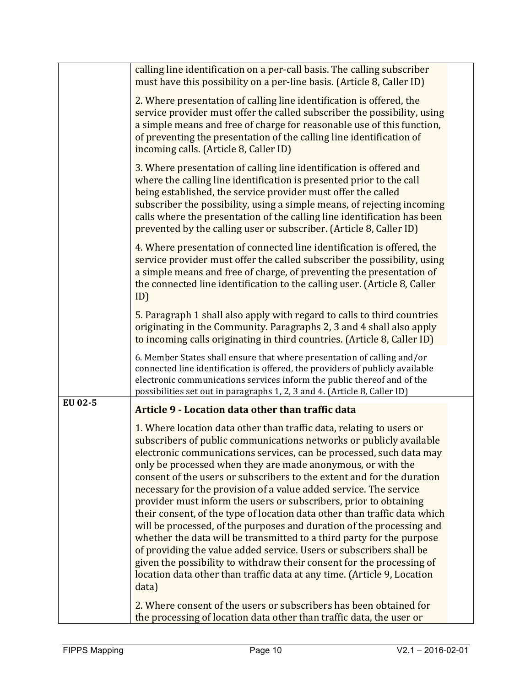|         | calling line identification on a per-call basis. The calling subscriber<br>must have this possibility on a per-line basis. (Article 8, Caller ID)                                                                                                                                                                                                                                                                                                                                                                                                                                                                                                                                                                                                                                                                                                                                                                                                                        |  |
|---------|--------------------------------------------------------------------------------------------------------------------------------------------------------------------------------------------------------------------------------------------------------------------------------------------------------------------------------------------------------------------------------------------------------------------------------------------------------------------------------------------------------------------------------------------------------------------------------------------------------------------------------------------------------------------------------------------------------------------------------------------------------------------------------------------------------------------------------------------------------------------------------------------------------------------------------------------------------------------------|--|
|         | 2. Where presentation of calling line identification is offered, the<br>service provider must offer the called subscriber the possibility, using<br>a simple means and free of charge for reasonable use of this function,<br>of preventing the presentation of the calling line identification of<br>incoming calls. (Article 8, Caller ID)                                                                                                                                                                                                                                                                                                                                                                                                                                                                                                                                                                                                                             |  |
|         | 3. Where presentation of calling line identification is offered and<br>where the calling line identification is presented prior to the call<br>being established, the service provider must offer the called<br>subscriber the possibility, using a simple means, of rejecting incoming<br>calls where the presentation of the calling line identification has been<br>prevented by the calling user or subscriber. (Article 8, Caller ID)                                                                                                                                                                                                                                                                                                                                                                                                                                                                                                                               |  |
|         | 4. Where presentation of connected line identification is offered, the<br>service provider must offer the called subscriber the possibility, using<br>a simple means and free of charge, of preventing the presentation of<br>the connected line identification to the calling user. (Article 8, Caller<br>ID)                                                                                                                                                                                                                                                                                                                                                                                                                                                                                                                                                                                                                                                           |  |
|         | 5. Paragraph 1 shall also apply with regard to calls to third countries<br>originating in the Community. Paragraphs 2, 3 and 4 shall also apply<br>to incoming calls originating in third countries. (Article 8, Caller ID)                                                                                                                                                                                                                                                                                                                                                                                                                                                                                                                                                                                                                                                                                                                                              |  |
|         | 6. Member States shall ensure that where presentation of calling and/or<br>connected line identification is offered, the providers of publicly available<br>electronic communications services inform the public thereof and of the<br>possibilities set out in paragraphs 1, 2, 3 and 4. (Article 8, Caller ID)                                                                                                                                                                                                                                                                                                                                                                                                                                                                                                                                                                                                                                                         |  |
| EU 02-5 | Article 9 - Location data other than traffic data                                                                                                                                                                                                                                                                                                                                                                                                                                                                                                                                                                                                                                                                                                                                                                                                                                                                                                                        |  |
|         | 1. Where location data other than traffic data, relating to users or<br>subscribers of public communications networks or publicly available<br>electronic communications services, can be processed, such data may<br>only be processed when they are made anonymous, or with the<br>consent of the users or subscribers to the extent and for the duration<br>necessary for the provision of a value added service. The service<br>provider must inform the users or subscribers, prior to obtaining<br>their consent, of the type of location data other than traffic data which<br>will be processed, of the purposes and duration of the processing and<br>whether the data will be transmitted to a third party for the purpose<br>of providing the value added service. Users or subscribers shall be<br>given the possibility to withdraw their consent for the processing of<br>location data other than traffic data at any time. (Article 9, Location<br>data) |  |
|         | 2. Where consent of the users or subscribers has been obtained for<br>the processing of location data other than traffic data, the user or                                                                                                                                                                                                                                                                                                                                                                                                                                                                                                                                                                                                                                                                                                                                                                                                                               |  |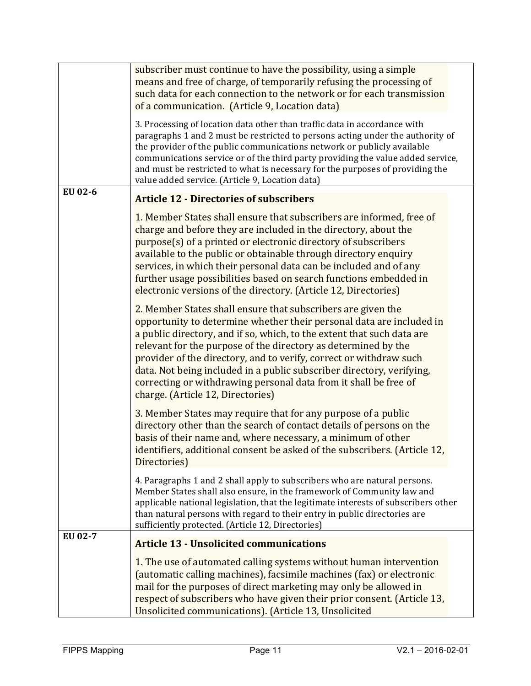|         | subscriber must continue to have the possibility, using a simple<br>means and free of charge, of temporarily refusing the processing of<br>such data for each connection to the network or for each transmission<br>of a communication. (Article 9, Location data)                                                                                                                                                                                                                                                                       |
|---------|------------------------------------------------------------------------------------------------------------------------------------------------------------------------------------------------------------------------------------------------------------------------------------------------------------------------------------------------------------------------------------------------------------------------------------------------------------------------------------------------------------------------------------------|
|         | 3. Processing of location data other than traffic data in accordance with<br>paragraphs 1 and 2 must be restricted to persons acting under the authority of<br>the provider of the public communications network or publicly available<br>communications service or of the third party providing the value added service,<br>and must be restricted to what is necessary for the purposes of providing the<br>value added service. (Article 9, Location data)                                                                            |
| EU 02-6 | <b>Article 12 - Directories of subscribers</b>                                                                                                                                                                                                                                                                                                                                                                                                                                                                                           |
|         | 1. Member States shall ensure that subscribers are informed, free of<br>charge and before they are included in the directory, about the<br>purpose(s) of a printed or electronic directory of subscribers<br>available to the public or obtainable through directory enquiry<br>services, in which their personal data can be included and of any<br>further usage possibilities based on search functions embedded in<br>electronic versions of the directory. (Article 12, Directories)                                                |
|         | 2. Member States shall ensure that subscribers are given the<br>opportunity to determine whether their personal data are included in<br>a public directory, and if so, which, to the extent that such data are<br>relevant for the purpose of the directory as determined by the<br>provider of the directory, and to verify, correct or withdraw such<br>data. Not being included in a public subscriber directory, verifying,<br>correcting or withdrawing personal data from it shall be free of<br>charge. (Article 12, Directories) |
|         | 3. Member States may require that for any purpose of a public<br>directory other than the search of contact details of persons on the<br>basis of their name and, where necessary, a minimum of other<br>identifiers, additional consent be asked of the subscribers. (Article 12,<br>Directories)                                                                                                                                                                                                                                       |
|         | 4. Paragraphs 1 and 2 shall apply to subscribers who are natural persons.<br>Member States shall also ensure, in the framework of Community law and<br>applicable national legislation, that the legitimate interests of subscribers other<br>than natural persons with regard to their entry in public directories are<br>sufficiently protected. (Article 12, Directories)                                                                                                                                                             |
| EU 02-7 | <b>Article 13 - Unsolicited communications</b>                                                                                                                                                                                                                                                                                                                                                                                                                                                                                           |
|         | 1. The use of automated calling systems without human intervention<br>(automatic calling machines), facsimile machines (fax) or electronic<br>mail for the purposes of direct marketing may only be allowed in<br>respect of subscribers who have given their prior consent. (Article 13,<br>Unsolicited communications). (Article 13, Unsolicited                                                                                                                                                                                       |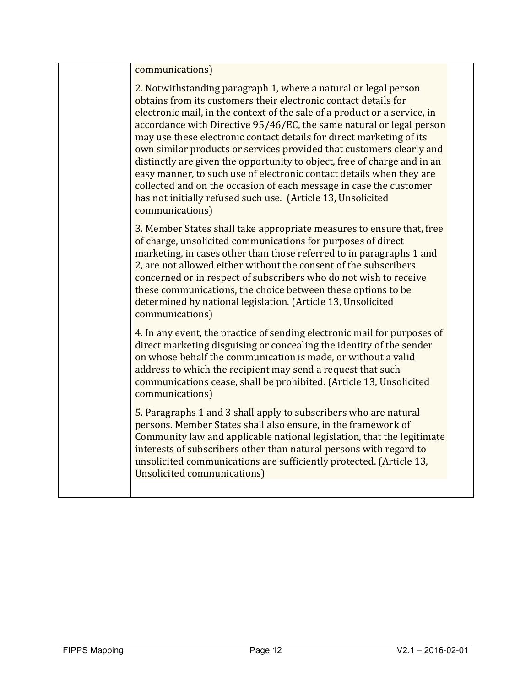communications) 

2. Notwithstanding paragraph 1, where a natural or legal person obtains from its customers their electronic contact details for electronic mail, in the context of the sale of a product or a service, in accordance with Directive 95/46/EC, the same natural or legal person may use these electronic contact details for direct marketing of its own similar products or services provided that customers clearly and distinctly are given the opportunity to object, free of charge and in an easy manner, to such use of electronic contact details when they are collected and on the occasion of each message in case the customer has not initially refused such use. (Article 13, Unsolicited communications) 3. Member States shall take appropriate measures to ensure that, free of charge, unsolicited communications for purposes of direct marketing, in cases other than those referred to in paragraphs 1 and 2, are not allowed either without the consent of the subscribers concerned or in respect of subscribers who do not wish to receive these communications, the choice between these options to be determined by national legislation. (Article 13, Unsolicited communications) 4. In any event, the practice of sending electronic mail for purposes of direct marketing disguising or concealing the identity of the sender on whose behalf the communication is made, or without a valid address to which the recipient may send a request that such communications cease, shall be prohibited. (Article 13, Unsolicited communications) 5. Paragraphs 1 and 3 shall apply to subscribers who are natural persons. Member States shall also ensure, in the framework of

Community law and applicable national legislation, that the legitimate interests of subscribers other than natural persons with regard to unsolicited communications are sufficiently protected. (Article 13, Unsolicited communications)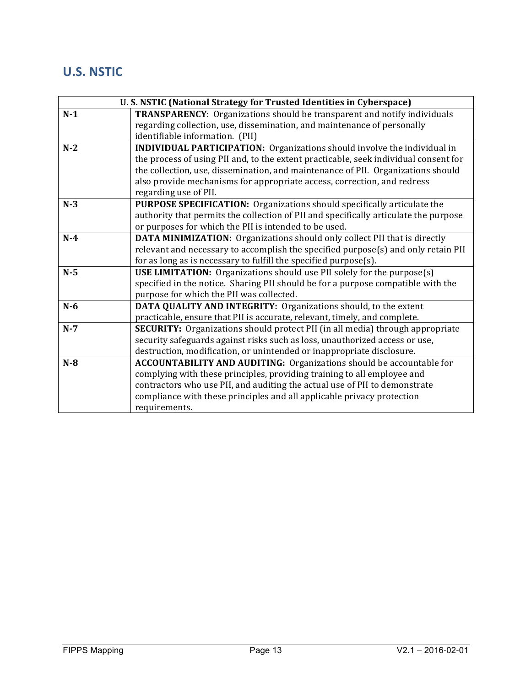### **U.S. NSTIC**

| U.S. NSTIC (National Strategy for Trusted Identities in Cyberspace) |                                                                                      |
|---------------------------------------------------------------------|--------------------------------------------------------------------------------------|
| $N-1$                                                               | TRANSPARENCY: Organizations should be transparent and notify individuals             |
|                                                                     | regarding collection, use, dissemination, and maintenance of personally              |
|                                                                     | identifiable information. (PII)                                                      |
| $N-2$                                                               | <b>INDIVIDUAL PARTICIPATION:</b> Organizations should involve the individual in      |
|                                                                     | the process of using PII and, to the extent practicable, seek individual consent for |
|                                                                     | the collection, use, dissemination, and maintenance of PII. Organizations should     |
|                                                                     | also provide mechanisms for appropriate access, correction, and redress              |
|                                                                     | regarding use of PII.                                                                |
| $N-3$                                                               | <b>PURPOSE SPECIFICATION:</b> Organizations should specifically articulate the       |
|                                                                     | authority that permits the collection of PII and specifically articulate the purpose |
|                                                                     | or purposes for which the PII is intended to be used.                                |
| $N-4$                                                               | <b>DATA MINIMIZATION:</b> Organizations should only collect PII that is directly     |
|                                                                     | relevant and necessary to accomplish the specified purpose(s) and only retain PII    |
|                                                                     | for as long as is necessary to fulfill the specified purpose(s).                     |
| $N-5$                                                               | <b>USE LIMITATION:</b> Organizations should use PII solely for the purpose(s)        |
|                                                                     | specified in the notice. Sharing PII should be for a purpose compatible with the     |
|                                                                     | purpose for which the PII was collected.                                             |
| $N-6$                                                               | <b>DATA QUALITY AND INTEGRITY: Organizations should, to the extent</b>               |
|                                                                     | practicable, ensure that PII is accurate, relevant, timely, and complete.            |
| $N-7$                                                               | <b>SECURITY:</b> Organizations should protect PII (in all media) through appropriate |
|                                                                     | security safeguards against risks such as loss, unauthorized access or use,          |
|                                                                     | destruction, modification, or unintended or inappropriate disclosure.                |
| $N-8$                                                               | <b>ACCOUNTABILITY AND AUDITING:</b> Organizations should be accountable for          |
|                                                                     | complying with these principles, providing training to all employee and              |
|                                                                     | contractors who use PII, and auditing the actual use of PII to demonstrate           |
|                                                                     | compliance with these principles and all applicable privacy protection               |
|                                                                     | requirements.                                                                        |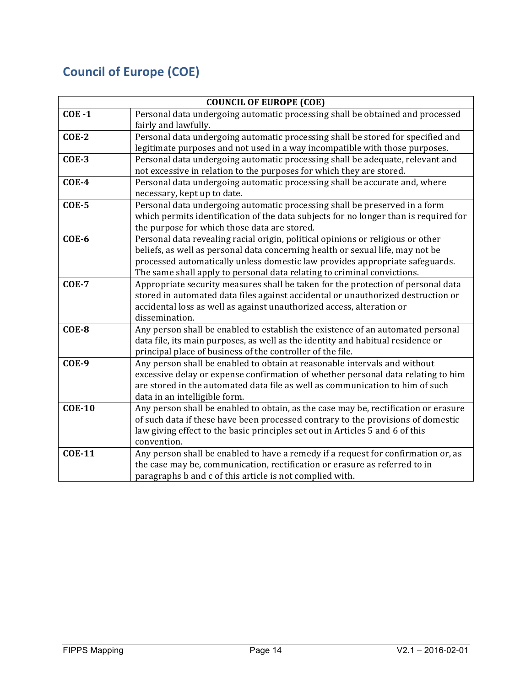# **Council of Europe (COE)**

| <b>COUNCIL OF EUROPE (COE)</b> |                                                                                      |
|--------------------------------|--------------------------------------------------------------------------------------|
| $COE - 1$                      | Personal data undergoing automatic processing shall be obtained and processed        |
|                                | fairly and lawfully.                                                                 |
| $COE-2$                        | Personal data undergoing automatic processing shall be stored for specified and      |
|                                | legitimate purposes and not used in a way incompatible with those purposes.          |
| $COE-3$                        | Personal data undergoing automatic processing shall be adequate, relevant and        |
|                                | not excessive in relation to the purposes for which they are stored.                 |
| <b>COE-4</b>                   | Personal data undergoing automatic processing shall be accurate and, where           |
|                                | necessary, kept up to date.                                                          |
| $COE-5$                        | Personal data undergoing automatic processing shall be preserved in a form           |
|                                | which permits identification of the data subjects for no longer than is required for |
|                                | the purpose for which those data are stored.                                         |
| $COE-6$                        | Personal data revealing racial origin, political opinions or religious or other      |
|                                | beliefs, as well as personal data concerning health or sexual life, may not be       |
|                                | processed automatically unless domestic law provides appropriate safeguards.         |
|                                | The same shall apply to personal data relating to criminal convictions.              |
| <b>COE-7</b>                   | Appropriate security measures shall be taken for the protection of personal data     |
|                                | stored in automated data files against accidental or unauthorized destruction or     |
|                                | accidental loss as well as against unauthorized access, alteration or                |
|                                | dissemination.                                                                       |
| $COE-8$                        | Any person shall be enabled to establish the existence of an automated personal      |
|                                | data file, its main purposes, as well as the identity and habitual residence or      |
|                                | principal place of business of the controller of the file.                           |
| $COE-9$                        | Any person shall be enabled to obtain at reasonable intervals and without            |
|                                | excessive delay or expense confirmation of whether personal data relating to him     |
|                                | are stored in the automated data file as well as communication to him of such        |
|                                | data in an intelligible form.                                                        |
| <b>COE-10</b>                  | Any person shall be enabled to obtain, as the case may be, rectification or erasure  |
|                                | of such data if these have been processed contrary to the provisions of domestic     |
|                                | law giving effect to the basic principles set out in Articles 5 and 6 of this        |
|                                | convention.                                                                          |
| <b>COE-11</b>                  | Any person shall be enabled to have a remedy if a request for confirmation or, as    |
|                                | the case may be, communication, rectification or erasure as referred to in           |
|                                | paragraphs b and c of this article is not complied with.                             |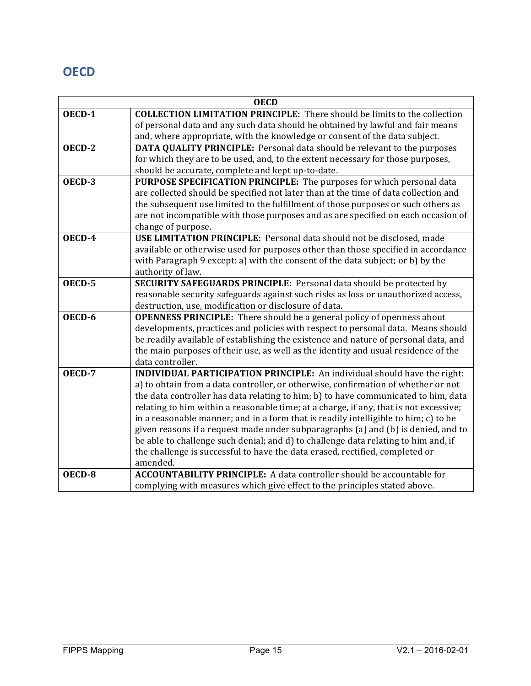### **OECD**

| <b>OECD</b> |                                                                                       |
|-------------|---------------------------------------------------------------------------------------|
| OECD-1      | <b>COLLECTION LIMITATION PRINCIPLE:</b> There should be limits to the collection      |
|             | of personal data and any such data should be obtained by lawful and fair means        |
|             | and, where appropriate, with the knowledge or consent of the data subject.            |
| OECD-2      | DATA QUALITY PRINCIPLE: Personal data should be relevant to the purposes              |
|             | for which they are to be used, and, to the extent necessary for those purposes,       |
|             | should be accurate, complete and kept up-to-date.                                     |
| OECD-3      | PURPOSE SPECIFICATION PRINCIPLE: The purposes for which personal data                 |
|             | are collected should be specified not later than at the time of data collection and   |
|             | the subsequent use limited to the fulfillment of those purposes or such others as     |
|             | are not incompatible with those purposes and as are specified on each occasion of     |
|             | change of purpose.                                                                    |
| OECD-4      | USE LIMITATION PRINCIPLE: Personal data should not be disclosed, made                 |
|             | available or otherwise used for purposes other than those specified in accordance     |
|             | with Paragraph 9 except: a) with the consent of the data subject; or b) by the        |
|             | authority of law.                                                                     |
| OECD-5      | SECURITY SAFEGUARDS PRINCIPLE: Personal data should be protected by                   |
|             | reasonable security safeguards against such risks as loss or unauthorized access,     |
|             | destruction, use, modification or disclosure of data.                                 |
| OECD-6      | <b>OPENNESS PRINCIPLE:</b> There should be a general policy of openness about         |
|             | developments, practices and policies with respect to personal data. Means should      |
|             | be readily available of establishing the existence and nature of personal data, and   |
|             | the main purposes of their use, as well as the identity and usual residence of the    |
|             | data controller.                                                                      |
| OECD-7      | <b>INDIVIDUAL PARTICIPATION PRINCIPLE:</b> An individual should have the right:       |
|             | a) to obtain from a data controller, or otherwise, confirmation of whether or not     |
|             | the data controller has data relating to him; b) to have communicated to him, data    |
|             | relating to him within a reasonable time; at a charge, if any, that is not excessive; |
|             | in a reasonable manner; and in a form that is readily intelligible to him; c) to be   |
|             | given reasons if a request made under subparagraphs (a) and (b) is denied, and to     |
|             | be able to challenge such denial; and d) to challenge data relating to him and, if    |
|             | the challenge is successful to have the data erased, rectified, completed or          |
|             | amended.                                                                              |
| OECD-8      | <b>ACCOUNTABILITY PRINCIPLE:</b> A data controller should be accountable for          |
|             | complying with measures which give effect to the principles stated above.             |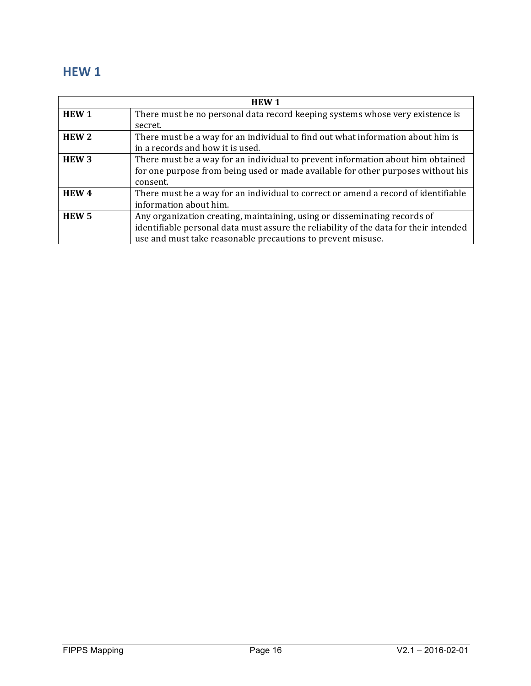### **HEW 1**

| <b>HEW1</b>      |                                                                                       |
|------------------|---------------------------------------------------------------------------------------|
| <b>HEW1</b>      | There must be no personal data record keeping systems whose very existence is         |
|                  | secret.                                                                               |
| HEW <sub>2</sub> | There must be a way for an individual to find out what information about him is       |
|                  | in a records and how it is used.                                                      |
| HEW <sub>3</sub> | There must be a way for an individual to prevent information about him obtained       |
|                  | for one purpose from being used or made available for other purposes without his      |
|                  | consent.                                                                              |
| HEW <sub>4</sub> | There must be a way for an individual to correct or amend a record of identifiable    |
|                  | information about him.                                                                |
| HEW <sub>5</sub> | Any organization creating, maintaining, using or disseminating records of             |
|                  | identifiable personal data must assure the reliability of the data for their intended |
|                  | use and must take reasonable precautions to prevent misuse.                           |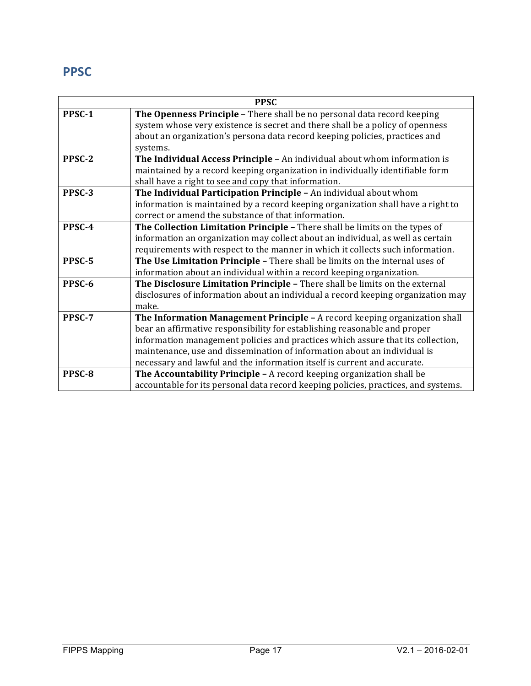### **PPSC**

| <b>PPSC</b> |                                                                                    |
|-------------|------------------------------------------------------------------------------------|
| PPSC-1      | The Openness Principle - There shall be no personal data record keeping            |
|             | system whose very existence is secret and there shall be a policy of openness      |
|             | about an organization's persona data record keeping policies, practices and        |
|             | systems.                                                                           |
| PPSC-2      | The Individual Access Principle - An individual about whom information is          |
|             | maintained by a record keeping organization in individually identifiable form      |
|             | shall have a right to see and copy that information.                               |
| PPSC-3      | The Individual Participation Principle - An individual about whom                  |
|             | information is maintained by a record keeping organization shall have a right to   |
|             | correct or amend the substance of that information.                                |
| PPSC-4      | The Collection Limitation Principle - There shall be limits on the types of        |
|             | information an organization may collect about an individual, as well as certain    |
|             | requirements with respect to the manner in which it collects such information.     |
| PPSC-5      | The Use Limitation Principle - There shall be limits on the internal uses of       |
|             | information about an individual within a record keeping organization.              |
| PPSC-6      | The Disclosure Limitation Principle - There shall be limits on the external        |
|             | disclosures of information about an individual a record keeping organization may   |
|             | make.                                                                              |
| PPSC-7      | The Information Management Principle - A record keeping organization shall         |
|             | bear an affirmative responsibility for establishing reasonable and proper          |
|             | information management policies and practices which assure that its collection,    |
|             | maintenance, use and dissemination of information about an individual is           |
|             | necessary and lawful and the information itself is current and accurate.           |
| PPSC-8      | The Accountability Principle - A record keeping organization shall be              |
|             | accountable for its personal data record keeping policies, practices, and systems. |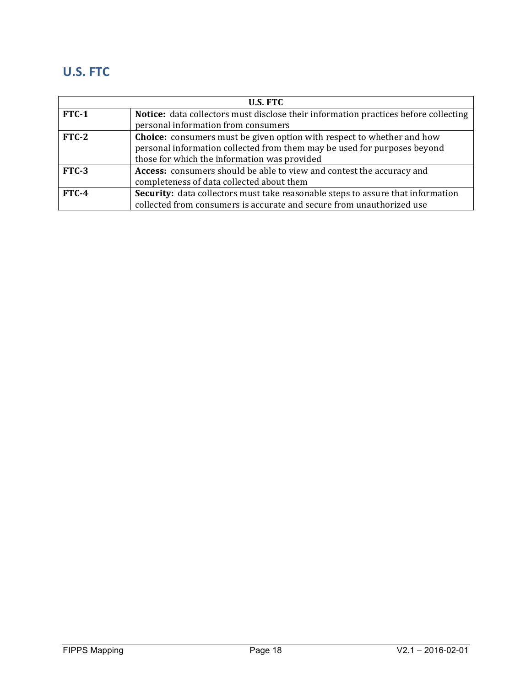### **U.S. FTC**

| <b>U.S. FTC</b> |                                                                                     |
|-----------------|-------------------------------------------------------------------------------------|
| $FTC-1$         | Notice: data collectors must disclose their information practices before collecting |
|                 | personal information from consumers                                                 |
| $FTC-2$         | <b>Choice:</b> consumers must be given option with respect to whether and how       |
|                 | personal information collected from them may be used for purposes beyond            |
|                 | those for which the information was provided                                        |
| $FTC-3$         | Access: consumers should be able to view and contest the accuracy and               |
|                 | completeness of data collected about them                                           |
| $FTC-4$         | Security: data collectors must take reasonable steps to assure that information     |
|                 | collected from consumers is accurate and secure from unauthorized use               |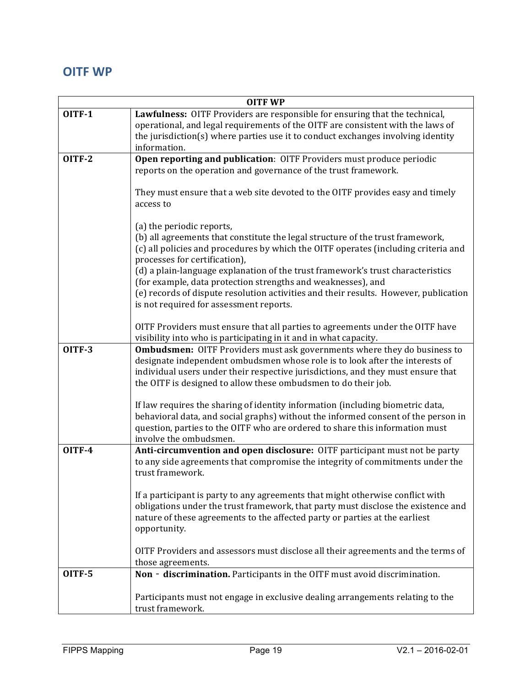### **OITF** WP

| <b>OITF WP</b>                                                                                                                                                 |  |
|----------------------------------------------------------------------------------------------------------------------------------------------------------------|--|
| Lawfulness: OITF Providers are responsible for ensuring that the technical,<br>operational, and legal requirements of the OITF are consistent with the laws of |  |
| the jurisdiction(s) where parties use it to conduct exchanges involving identity                                                                               |  |
| information.                                                                                                                                                   |  |
| Open reporting and publication: OITF Providers must produce periodic                                                                                           |  |
| reports on the operation and governance of the trust framework.                                                                                                |  |
| They must ensure that a web site devoted to the OITF provides easy and timely<br>access to                                                                     |  |
| (a) the periodic reports,                                                                                                                                      |  |
| (b) all agreements that constitute the legal structure of the trust framework,                                                                                 |  |
| (c) all policies and procedures by which the OITF operates (including criteria and                                                                             |  |
| processes for certification),                                                                                                                                  |  |
| (d) a plain-language explanation of the trust framework's trust characteristics<br>(for example, data protection strengths and weaknesses), and                |  |
| (e) records of dispute resolution activities and their results. However, publication                                                                           |  |
| is not required for assessment reports.                                                                                                                        |  |
|                                                                                                                                                                |  |
| OITF Providers must ensure that all parties to agreements under the OITF have                                                                                  |  |
| visibility into who is participating in it and in what capacity.<br>Ombudsmen: OITF Providers must ask governments where they do business to                   |  |
| designate independent ombudsmen whose role is to look after the interests of                                                                                   |  |
| individual users under their respective jurisdictions, and they must ensure that                                                                               |  |
| the OITF is designed to allow these ombudsmen to do their job.                                                                                                 |  |
| If law requires the sharing of identity information (including biometric data,                                                                                 |  |
| behavioral data, and social graphs) without the informed consent of the person in                                                                              |  |
| question, parties to the OITF who are ordered to share this information must                                                                                   |  |
| involve the ombudsmen.                                                                                                                                         |  |
| Anti-circumvention and open disclosure: OITF participant must not be party                                                                                     |  |
| to any side agreements that compromise the integrity of commitments under the<br>trust framework.                                                              |  |
|                                                                                                                                                                |  |
| If a participant is party to any agreements that might otherwise conflict with                                                                                 |  |
| obligations under the trust framework, that party must disclose the existence and                                                                              |  |
| nature of these agreements to the affected party or parties at the earliest                                                                                    |  |
| opportunity.                                                                                                                                                   |  |
| OITF Providers and assessors must disclose all their agreements and the terms of                                                                               |  |
| those agreements.                                                                                                                                              |  |
| Non - discrimination. Participants in the OITF must avoid discrimination.                                                                                      |  |
| Participants must not engage in exclusive dealing arrangements relating to the                                                                                 |  |
| trust framework.                                                                                                                                               |  |
|                                                                                                                                                                |  |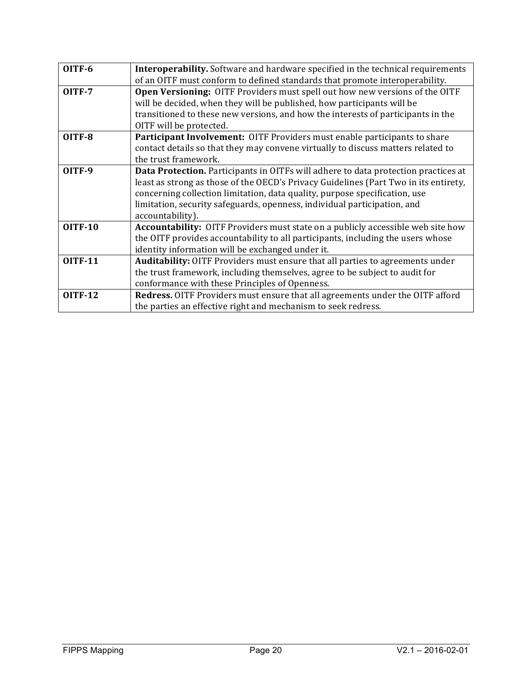| OITF-6         | Interoperability. Software and hardware specified in the technical requirements        |
|----------------|----------------------------------------------------------------------------------------|
|                | of an OITF must conform to defined standards that promote interoperability.            |
| OITF-7         | <b>Open Versioning:</b> OITF Providers must spell out how new versions of the OITF     |
|                | will be decided, when they will be published, how participants will be                 |
|                | transitioned to these new versions, and how the interests of participants in the       |
|                | OITF will be protected.                                                                |
| OITF-8         | <b>Participant Involvement:</b> OITF Providers must enable participants to share       |
|                | contact details so that they may convene virtually to discuss matters related to       |
|                | the trust framework.                                                                   |
| OITF-9         | Data Protection. Participants in OITFs will adhere to data protection practices at     |
|                | least as strong as those of the OECD's Privacy Guidelines (Part Two in its entirety,   |
|                | concerning collection limitation, data quality, purpose specification, use             |
|                | limitation, security safeguards, openness, individual participation, and               |
|                | accountability).                                                                       |
| <b>OITF-10</b> | <b>Accountability:</b> OITF Providers must state on a publicly accessible web site how |
|                | the OITF provides accountability to all participants, including the users whose        |
|                | identity information will be exchanged under it.                                       |
| <b>OITF-11</b> | <b>Auditability:</b> OITF Providers must ensure that all parties to agreements under   |
|                | the trust framework, including themselves, agree to be subject to audit for            |
|                | conformance with these Principles of Openness.                                         |
| <b>OITF-12</b> | Redress. OITF Providers must ensure that all agreements under the OITF afford          |
|                | the parties an effective right and mechanism to seek redress.                          |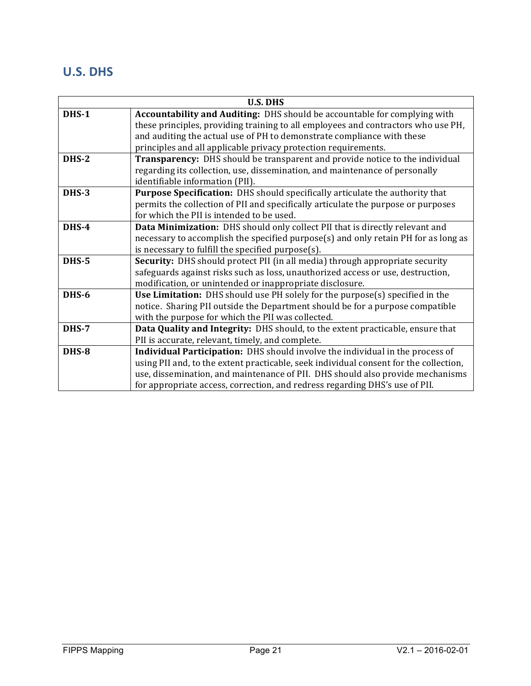### **U.S. DHS**

| <b>U.S. DHS</b> |                                                                                       |
|-----------------|---------------------------------------------------------------------------------------|
| DHS-1           | Accountability and Auditing: DHS should be accountable for complying with             |
|                 | these principles, providing training to all employees and contractors who use PH,     |
|                 | and auditing the actual use of PH to demonstrate compliance with these                |
|                 | principles and all applicable privacy protection requirements.                        |
| <b>DHS-2</b>    | Transparency: DHS should be transparent and provide notice to the individual          |
|                 | regarding its collection, use, dissemination, and maintenance of personally           |
|                 | identifiable information (PII).                                                       |
| DHS-3           | Purpose Specification: DHS should specifically articulate the authority that          |
|                 | permits the collection of PII and specifically articulate the purpose or purposes     |
|                 | for which the PII is intended to be used.                                             |
| <b>DHS-4</b>    | Data Minimization: DHS should only collect PII that is directly relevant and          |
|                 | necessary to accomplish the specified purpose(s) and only retain PH for as long as    |
|                 | is necessary to fulfill the specified purpose(s).                                     |
| DHS-5           | <b>Security:</b> DHS should protect PII (in all media) through appropriate security   |
|                 | safeguards against risks such as loss, unauthorized access or use, destruction,       |
|                 | modification, or unintended or inappropriate disclosure.                              |
| DHS-6           | Use Limitation: DHS should use PH solely for the purpose(s) specified in the          |
|                 | notice. Sharing PII outside the Department should be for a purpose compatible         |
|                 | with the purpose for which the PII was collected.                                     |
| DHS-7           | Data Quality and Integrity: DHS should, to the extent practicable, ensure that        |
|                 | PII is accurate, relevant, timely, and complete.                                      |
| DHS-8           | Individual Participation: DHS should involve the individual in the process of         |
|                 | using PII and, to the extent practicable, seek individual consent for the collection, |
|                 | use, dissemination, and maintenance of PII. DHS should also provide mechanisms        |
|                 | for appropriate access, correction, and redress regarding DHS's use of PII.           |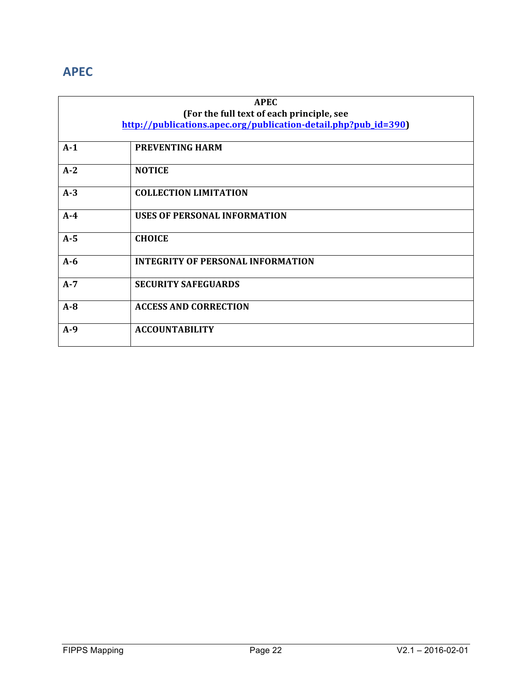### **APEC**

| <b>APEC</b>                               |                                                                 |
|-------------------------------------------|-----------------------------------------------------------------|
| (For the full text of each principle, see |                                                                 |
|                                           | http://publications.apec.org/publication-detail.php?pub_id=390) |
|                                           |                                                                 |
| $A-1$                                     | <b>PREVENTING HARM</b>                                          |
| $A-2$                                     | <b>NOTICE</b>                                                   |
| $A-3$                                     | <b>COLLECTION LIMITATION</b>                                    |
| $A-4$                                     | <b>USES OF PERSONAL INFORMATION</b>                             |
| $A-5$                                     | <b>CHOICE</b>                                                   |
| $A-6$                                     | <b>INTEGRITY OF PERSONAL INFORMATION</b>                        |
| $A-7$                                     | <b>SECURITY SAFEGUARDS</b>                                      |
| $A - 8$                                   | <b>ACCESS AND CORRECTION</b>                                    |
| $A-9$                                     | <b>ACCOUNTABILITY</b>                                           |